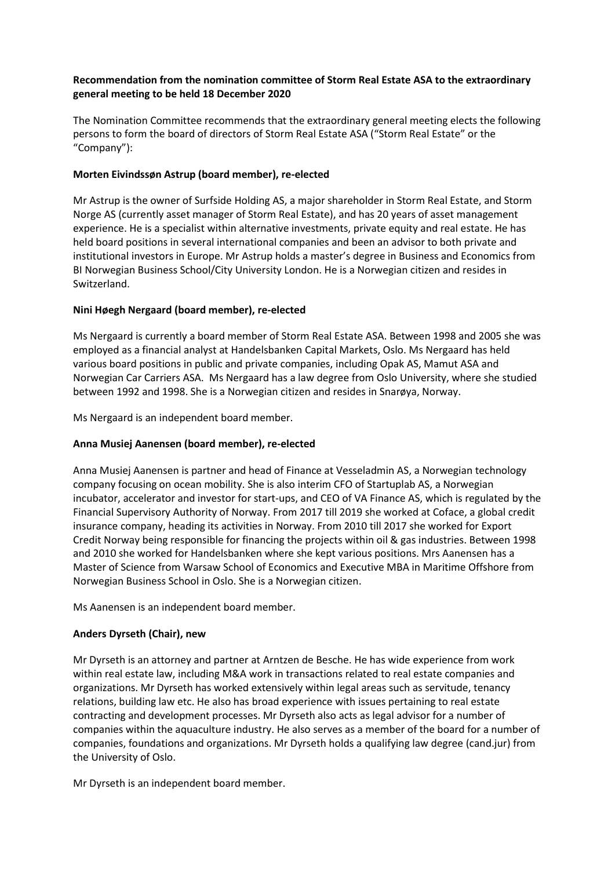# **Recommendation from the nomination committee of Storm Real Estate ASA to the extraordinary general meeting to be held 18 December 2020**

The Nomination Committee recommends that the extraordinary general meeting elects the following persons to form the board of directors of Storm Real Estate ASA ("Storm Real Estate" or the "Company"):

### **Morten Eivindssøn Astrup (board member), re-elected**

Mr Astrup is the owner of Surfside Holding AS, a major shareholder in Storm Real Estate, and Storm Norge AS (currently asset manager of Storm Real Estate), and has 20 years of asset management experience. He is a specialist within alternative investments, private equity and real estate. He has held board positions in several international companies and been an advisor to both private and institutional investors in Europe. Mr Astrup holds a master's degree in Business and Economics from BI Norwegian Business School/City University London. He is a Norwegian citizen and resides in Switzerland.

# **Nini Høegh Nergaard (board member), re-elected**

Ms Nergaard is currently a board member of Storm Real Estate ASA. Between 1998 and 2005 she was employed as a financial analyst at Handelsbanken Capital Markets, Oslo. Ms Nergaard has held various board positions in public and private companies, including Opak AS, Mamut ASA and Norwegian Car Carriers ASA. Ms Nergaard has a law degree from Oslo University, where she studied between 1992 and 1998. She is a Norwegian citizen and resides in Snarøya, Norway.

Ms Nergaard is an independent board member.

# **Anna Musiej Aanensen (board member), re-elected**

Anna Musiej Aanensen is partner and head of Finance at Vesseladmin AS, a Norwegian technology company focusing on ocean mobility. She is also interim CFO of Startuplab AS, a Norwegian incubator, accelerator and investor for start-ups, and CEO of VA Finance AS, which is regulated by the Financial Supervisory Authority of Norway. From 2017 till 2019 she worked at Coface, a global credit insurance company, heading its activities in Norway. From 2010 till 2017 she worked for Export Credit Norway being responsible for financing the projects within oil & gas industries. Between 1998 and 2010 she worked for Handelsbanken where she kept various positions. Mrs Aanensen has a Master of Science from Warsaw School of Economics and Executive MBA in Maritime Offshore from Norwegian Business School in Oslo. She is a Norwegian citizen.

Ms Aanensen is an independent board member.

# **Anders Dyrseth (Chair), new**

Mr Dyrseth is an attorney and partner at Arntzen de Besche. He has wide experience from work within real estate law, including M&A work in transactions related to real estate companies and organizations. Mr Dyrseth has worked extensively within legal areas such as servitude, tenancy relations, building law etc. He also has broad experience with issues pertaining to real estate contracting and development processes. Mr Dyrseth also acts as legal advisor for a number of companies within the aquaculture industry. He also serves as a member of the board for a number of companies, foundations and organizations. Mr Dyrseth holds a qualifying law degree (cand.jur) from the University of Oslo.

Mr Dyrseth is an independent board member.